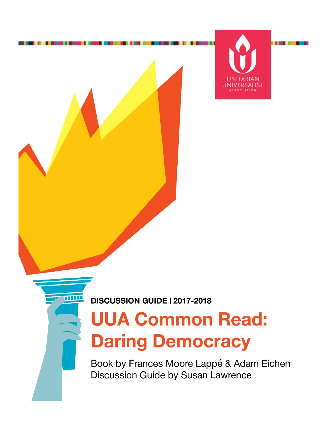

**DISCUSSION GUIDE | 2017-2018** 

TIPE TITLE

# **UUA Common Read: Daring Democracy**

Book by Frances Moore Lappé & Adam Eichen Discussion Guide by Susan Lawrence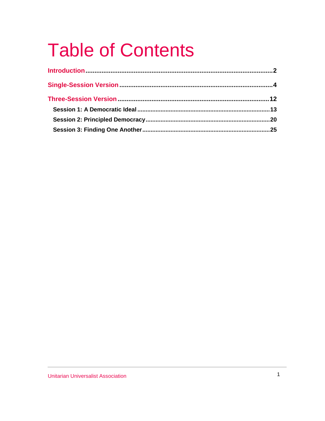# **Table of Contents**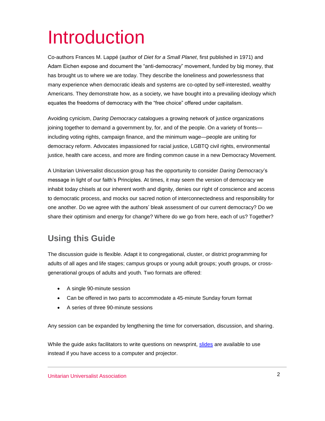# Introduction

Co-authors Frances M. Lappé (author of *Diet for a Small Planet*, first published in 1971) and Adam Eichen expose and document the "anti-democracy" movement, funded by big money, that has brought us to where we are today. They describe the loneliness and powerlessness that many experience when democratic ideals and systems are co-opted by self-interested, wealthy Americans. They demonstrate how, as a society, we have bought into a prevailing ideology which equates the freedoms of democracy with the "free choice" offered under capitalism.

Avoiding cynicism, *Daring Democracy* catalogues a growing network of justice organizations joining together to demand a government by, for, and of the people. On a variety of fronts including voting rights, campaign finance, and the minimum wage—people are uniting for democracy reform. Advocates impassioned for racial justice, LGBTQ civil rights, environmental justice, health care access, and more are finding common cause in a new Democracy Movement.

A Unitarian Universalist discussion group has the opportunity to consider *Daring Democracy*'s message in light of our faith's Principles. At times, it may seem the version of democracy we inhabit today chisels at our inherent worth and dignity, denies our right of conscience and access to democratic process, and mocks our sacred notion of interconnectedness and responsibility for one another. Do we agree with the authors' bleak assessment of our current democracy? Do we share their optimism and energy for change? Where do we go from here, each of us? Together?

### **Using this Guide**

The discussion guide is flexible. Adapt it to congregational, cluster, or district programming for adults of all ages and life stages; campus groups or young adult groups; youth groups, or crossgenerational groups of adults and youth. Two formats are offered:

- A single 90-minute session
- Can be offered in two parts to accommodate a 45-minute Sunday forum format
- A series of three 90-minute sessions

Any session can be expanded by lengthening the time for conversation, discussion, and sharing.

While the guide asks facilitators to write questions on newsprint, [slides](https://www.uua.org/sites/live-new.uua.org/files/daringdem_discguide_slides.pptx) are available to use instead if you have access to a computer and projector.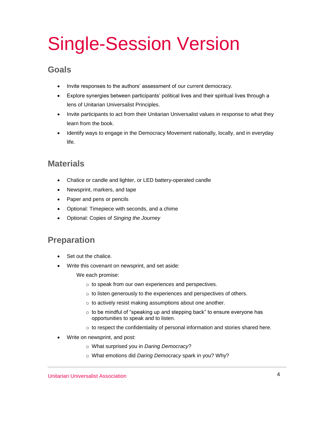# Single-Session Version

### **Goals**

- Invite responses to the authors' assessment of our current democracy.
- Explore synergies between participants' political lives and their spiritual lives through a lens of Unitarian Universalist Principles.
- Invite participants to act from their Unitarian Universalist values in response to what they learn from the book.
- Identify ways to engage in the Democracy Movement nationally, locally, and in everyday life.

### **Materials**

- Chalice or candle and lighter, or LED battery-operated candle
- Newsprint, markers, and tape
- Paper and pens or pencils
- Optional: Timepiece with seconds, and a chime
- Optional: Copies of *Singing the Journey*

### **Preparation**

- Set out the chalice.
- Write this covenant on newsprint, and set aside:

We each promise:

- o to speak from our own experiences and perspectives.
- o to listen generously to the experiences and perspectives of others.
- o to actively resist making assumptions about one another.
- o to be mindful of "speaking up and stepping back" to ensure everyone has opportunities to speak and to listen.
- o to respect the confidentiality of personal information and stories shared here.
- Write on newsprint, and post:
	- o What surprised you in *Daring Democracy*?
	- o What emotions did *Daring Democracy* spark in you? Why?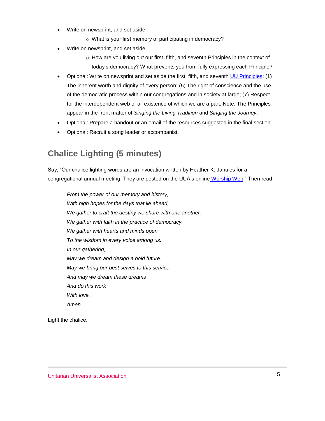- Write on newsprint, and set aside:
	- o What is your first memory of participating in democracy?
- Write on newsprint, and set aside:
	- $\circ$  How are you living out our first, fifth, and seventh Principles in the context of today's democracy? What prevents you from fully expressing each Principle?
- Optional: Write on newsprint and set aside the first, fifth, and seventh [UU Principles:](https://www.uua.org/beliefs/what-we-believe/principles) (1) The inherent worth and dignity of every person; (5) The right of conscience and the use of the democratic process within our congregations and in society at large; (7) Respect for the interdependent web of all existence of which we are a part. Note: The Principles appear in the front matter of *Singing the Living Tradition* and *Singing the Journey*.
- Optional: Prepare a handout or an email of the resources suggested in the final section.
- Optional: Recruit a song leader or accompanist.

### **Chalice Lighting (5 minutes)**

Say, "Our chalice lighting words are an invocation written by Heather K. Janules for a congregational annual meeting. They are posted on the UUA's online [Worship Web.](https://www.uua.org/worship/words/opening/5351.shtml)" Then read:

*From the power of our memory and history, With high hopes for the days that lie ahead, We gather to craft the destiny we share with one another. We gather with faith in the practice of democracy. We gather with hearts and minds open To the wisdom in every voice among us. In our gathering, May we dream and design a bold future. May we bring our best selves to this service, And may we dream these dreams And do this work With love. Amen.*

Light the chalice.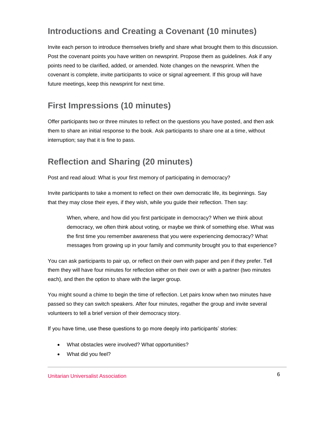## **Introductions and Creating a Covenant (10 minutes)**

Invite each person to introduce themselves briefly and share what brought them to this discussion. Post the covenant points you have written on newsprint. Propose them as guidelines. Ask if any points need to be clarified, added, or amended. Note changes on the newsprint. When the covenant is complete, invite participants to voice or signal agreement. If this group will have future meetings, keep this newsprint for next time.

## **First Impressions (10 minutes)**

Offer participants two or three minutes to reflect on the questions you have posted, and then ask them to share an initial response to the book. Ask participants to share one at a time, without interruption; say that it is fine to pass.

### **Reflection and Sharing (20 minutes)**

Post and read aloud: What is your first memory of participating in democracy?

Invite participants to take a moment to reflect on their own democratic life, its beginnings. Say that they may close their eyes, if they wish, while you guide their reflection. Then say:

When, where, and how did you first participate in democracy? When we think about democracy, we often think about voting, or maybe we think of something else. What was the first time you remember awareness that you were experiencing democracy? What messages from growing up in your family and community brought you to that experience?

You can ask participants to pair up, or reflect on their own with paper and pen if they prefer. Tell them they will have four minutes for reflection either on their own or with a partner (two minutes each), and then the option to share with the larger group.

You might sound a chime to begin the time of reflection. Let pairs know when two minutes have passed so they can switch speakers. After four minutes, regather the group and invite several volunteers to tell a brief version of their democracy story.

If you have time, use these questions to go more deeply into participants' stories:

- What obstacles were involved? What opportunities?
- What did you feel?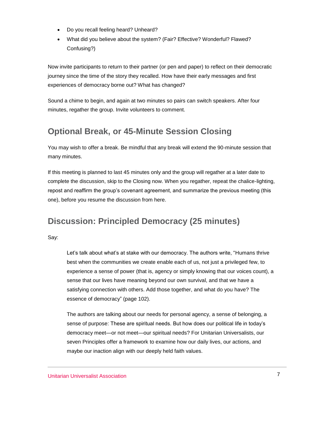- Do you recall feeling heard? Unheard?
- What did you believe about the system? (Fair? Effective? Wonderful? Flawed? Confusing?)

Now invite participants to return to their partner (or pen and paper) to reflect on their democratic journey since the time of the story they recalled. How have their early messages and first experiences of democracy borne out? What has changed?

Sound a chime to begin, and again at two minutes so pairs can switch speakers. After four minutes, regather the group. Invite volunteers to comment.

### **Optional Break, or 45-Minute Session Closing**

You may wish to offer a break. Be mindful that any break will extend the 90-minute session that many minutes.

If this meeting is planned to last 45 minutes only and the group will regather at a later date to complete the discussion, skip to the Closing now. When you regather, repeat the chalice-lighting, repost and reaffirm the group's covenant agreement, and summarize the previous meeting (this one), before you resume the discussion from here.

### **Discussion: Principled Democracy (25 minutes)**

Say:

Let's talk about what's at stake with our democracy. The authors write, "Humans thrive best when the communities we create enable each of us, not just a privileged few, to experience a sense of power (that is, agency or simply knowing that our voices count), a sense that our lives have meaning beyond our own survival, and that we have a satisfying connection with others. Add those together, and what do you have? The essence of democracy" (page 102).

The authors are talking about our needs for personal agency, a sense of belonging, a sense of purpose: These are spiritual needs. But how does our political life in today's democracy meet—or not meet—our spiritual needs? For Unitarian Universalists, our seven Principles offer a framework to examine how our daily lives, our actions, and maybe our inaction align with our deeply held faith values.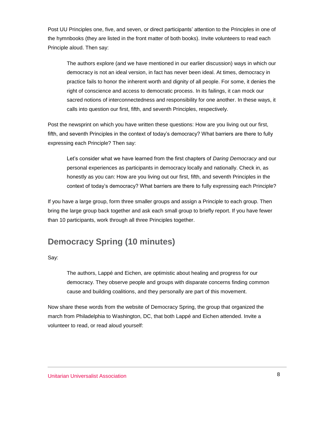Post UU Principles one, five, and seven, or direct participants' attention to the Principles in one of the hymnbooks (they are listed in the front matter of both books). Invite volunteers to read each Principle aloud. Then say:

The authors explore (and we have mentioned in our earlier discussion) ways in which our democracy is not an ideal version, in fact has never been ideal. At times, democracy in practice fails to honor the inherent worth and dignity of all people. For some, it denies the right of conscience and access to democratic process. In its failings, it can mock our sacred notions of interconnectedness and responsibility for one another. In these ways, it calls into question our first, fifth, and seventh Principles, respectively.

Post the newsprint on which you have written these questions: How are you living out our first, fifth, and seventh Principles in the context of today's democracy? What barriers are there to fully expressing each Principle? Then say:

Let's consider what we have learned from the first chapters of *Daring Democracy* and our personal experiences as participants in democracy locally and nationally. Check in, as honestly as you can: How are you living out our first, fifth, and seventh Principles in the context of today's democracy? What barriers are there to fully expressing each Principle?

If you have a large group, form three smaller groups and assign a Principle to each group. Then bring the large group back together and ask each small group to briefly report. If you have fewer than 10 participants, work through all three Principles together.

### **Democracy Spring (10 minutes)**

Say:

The authors, Lappé and Eichen, are optimistic about healing and progress for our democracy. They observe people and groups with disparate concerns finding common cause and building coalitions, and they personally are part of this movement.

Now share these words from the website of Democracy Spring, the group that organized the march from Philadelphia to Washington, DC, that both Lappé and Eichen attended. Invite a volunteer to read, or read aloud yourself: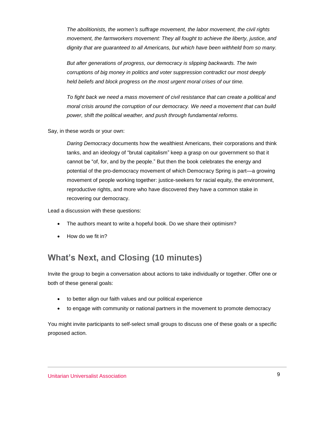*The abolitionists, the women's suffrage movement, the labor movement, the civil rights movement, the farmworkers movement: They all fought to achieve the liberty, justice, and dignity that are guaranteed to all Americans, but which have been withheld from so many.*

*But after generations of progress, our democracy is slipping backwards. The twin corruptions of big money in politics and voter suppression contradict our most deeply held beliefs and block progress on the most urgent moral crises of our time.*

*To fight back we need a mass movement of civil resistance that can create a political and moral crisis around the corruption of our democracy. We need a movement that can build power, shift the political weather, and push through fundamental reforms.*

Say, in these words or your own:

*Daring Democracy* documents how the wealthiest Americans, their corporations and think tanks, and an ideology of "brutal capitalism" keep a grasp on our government so that it cannot be "of, for, and by the people." But then the book celebrates the energy and potential of the pro-democracy movement of which Democracy Spring is part—a growing movement of people working together: justice-seekers for racial equity, the environment, reproductive rights, and more who have discovered they have a common stake in recovering our democracy.

Lead a discussion with these questions:

- The authors meant to write a hopeful book. Do we share their optimism?
- How do we fit in?

### **What's Next, and Closing (10 minutes)**

Invite the group to begin a conversation about actions to take individually or together. Offer one or both of these general goals:

- to better align our faith values and our political experience
- to engage with community or national partners in the movement to promote democracy

You might invite participants to self-select small groups to discuss one of these goals or a specific proposed action.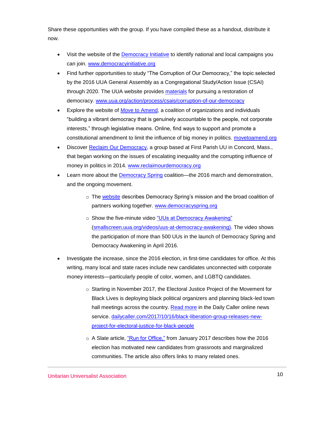Share these opportunities with the group. If you have compiled these as a handout, distribute it now.

- Visit the website of the [Democracy Initiative](http://www.democracyinitiative.org/) to identify national and local campaigns you can join. [www.democracyinitiative.org](http://www.democracyinitiative.org/)
- Find further opportunities to study "The Corruption of Our Democracy," the topic selected by the 2016 UUA General Assembly as a Congregational Study/Action Issue (CSAI) through 2020. The UUA website provides [materials](https://www.uua.org/action/process/csais/corruption-of-our-democracy) for pursuing a restoration of democracy. [www.uua.org/action/process/csais/corruption-of-our-democracy](https://www.uua.org/action/process/csais/corruption-of-our-democracy)
- Explore the website of [Move to Amend,](https://movetoamend.org/) a coalition of organizations and individuals "building a vibrant democracy that is genuinely accountable to the people, not corporate interests," through legislative means. Online, find ways to support and promote a constitutional amendment to limit the influence of big money in politics. [movetoamend.org](https://movetoamend.org/)
- Discover [Reclaim Our Democracy,](http://reclaimourdemocracy.org/why-should-i-care/) a group based at First Parish UU in Concord, Mass., that began working on the issues of escalating inequality and the corrupting influence of money in politics in 2014. [www.reclaimourdemocracy.org](http://www.reclaimourdemocracy.org/)
- Learn more about the [Democracy Spring](https://www.democracyspring.org/) coalition—the 2016 march and demonstration, and the ongoing movement.
	- $\circ$  The [website](https://www.democracyspring.org/) describes Democracy Spring's mission and the broad coalition of partners working together. [www.democracyspring.org](https://www.democracyspring.org/)
	- o Show the five-minute video ["UUs at Democracy Awakening"](https://smallscreen.uua.org/videos/uus-at-democracy-awakening) [\(smallscreen.uua.org/videos/uus-at-democracy-awakening\)](https://smallscreen.uua.org/videos/uus-at-democracy-awakening). The video shows the participation of more than 500 UUs in the launch of Democracy Spring and Democracy Awakening in April 2016.
- Investigate the increase, since the 2016 election, in first-time candidates for office. At this writing, many local and state races include new candidates unconnected with corporate money interests—particularly people of color, women, and LGBTQ candidates.
	- o Starting in November 2017, the Electoral Justice Project of the Movement for Black Lives is deploying black political organizers and planning black-led town hall meetings across the country. [Read more](http://dailycaller.com/2017/10/16/black-liberation-group-releases-new-project-for-electoral-justice-for-black-people/) in the Daily Caller online news service. [dailycaller.com/2017/10/16/black-liberation-group-releases-new](http://dailycaller.com/2017/10/16/black-liberation-group-releases-new-project-for-electoral-justice-for-black-people/)[project-for-electoral-justice-for-black-people](http://dailycaller.com/2017/10/16/black-liberation-group-releases-new-project-for-electoral-justice-for-black-people/)
	- o A Slate article, ["Run for Office,"](http://www.slate.com/articles/news_and_politics/cover_story/2017/01/how_to_run_for_office.html) from January 2017 describes how the 2016 election has motivated new candidates from grassroots and marginalized communities. The article also offers links to many related ones.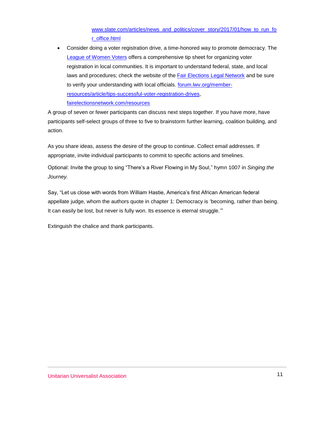### [www.slate.com/articles/news\\_and\\_politics/cover\\_story/2017/01/how\\_to\\_run\\_fo](http://www.slate.com/articles/news_and_politics/cover_story/2017/01/how_to_run_for_office.html) [r\\_office.html](http://www.slate.com/articles/news_and_politics/cover_story/2017/01/how_to_run_for_office.html)

 Consider doing a voter registration drive, a time-honored way to promote democracy. The [League of Women Voters](http://forum.lwv.org/member-resources/article/tips-successful-voter-registration-drives) offers a comprehensive tip sheet for organizing voter registration in local communities. It is important to understand federal, state, and local laws and procedures; check the website of the [Fair Elections Legal Network](http://fairelectionsnetwork.com/resources/) and be sure to verify your understanding with local officials. **forum.lwv.org/member**[resources/article/tips-successful-voter-registration-drives,](http://forum.lwv.org/member-resources/article/tips-successful-voter-registration-drives) [fairelectionsnetwork.com/resources](http://fairelectionsnetwork.com/resources/)

A group of seven or fewer participants can discuss next steps together. If you have more, have participants self-select groups of three to five to brainstorm further learning, coalition building, and action.

As you share ideas, assess the desire of the group to continue. Collect email addresses. If appropriate, invite individual participants to commit to specific actions and timelines.

Optional: Invite the group to sing "There's a River Flowing in My Soul," hymn 1007 in *Singing the Journey.*

Say, "Let us close with words from William Hastie, America's first African American federal appellate judge, whom the authors quote in chapter 1: Democracy is 'becoming, rather than being. It can easily be lost, but never is fully won. Its essence is eternal struggle.'"

Extinguish the chalice and thank participants.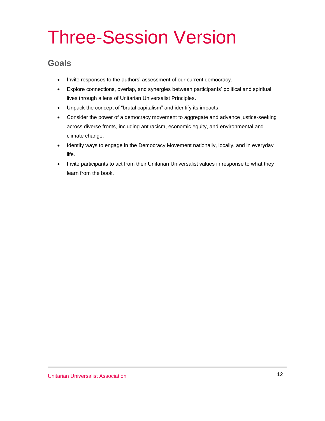# Three-Session Version

### **Goals**

- Invite responses to the authors' assessment of our current democracy.
- Explore connections, overlap, and synergies between participants' political and spiritual lives through a lens of Unitarian Universalist Principles.
- Unpack the concept of "brutal capitalism" and identify its impacts.
- Consider the power of a democracy movement to aggregate and advance justice-seeking across diverse fronts, including antiracism, economic equity, and environmental and climate change.
- Identify ways to engage in the Democracy Movement nationally, locally, and in everyday life.
- Invite participants to act from their Unitarian Universalist values in response to what they learn from the book.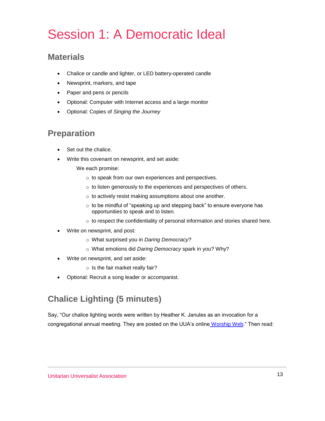# Session 1: A Democratic Ideal

### **Materials**

- Chalice or candle and lighter, or LED battery-operated candle
- Newsprint, markers, and tape
- Paper and pens or pencils
- Optional: Computer with Internet access and a large monitor
- Optional: Copies of *Singing the Journey*

### **Preparation**

- Set out the chalice.
- Write this covenant on newsprint, and set aside:

We each promise:

- o to speak from our own experiences and perspectives.
- o to listen generously to the experiences and perspectives of others.
- o to actively resist making assumptions about one another.
- o to be mindful of "speaking up and stepping back" to ensure everyone has opportunities to speak and to listen.
- o to respect the confidentiality of personal information and stories shared here.
- Write on newsprint, and post:
	- o What surprised you in *Daring Democracy*?
	- o What emotions did *Daring Democracy* spark in you? Why?
- Write on newsprint, and set aside:
	- o Is the fair market really fair?
- Optional: Recruit a song leader or accompanist.

## **Chalice Lighting (5 minutes)**

Say, "Our chalice lighting words were written by Heather K. Janules as an invocation for a congregational annual meeting. They are posted on the UUA's online [Worship Web.](https://www.uua.org/worship/words/opening/5351.shtml)" Then read: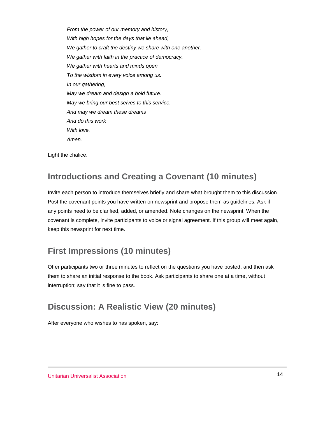*From the power of our memory and history, With high hopes for the days that lie ahead, We gather to craft the destiny we share with one another. We gather with faith in the practice of democracy. We gather with hearts and minds open To the wisdom in every voice among us. In our gathering, May we dream and design a bold future. May we bring our best selves to this service, And may we dream these dreams And do this work With love. Amen.*

Light the chalice.

### **Introductions and Creating a Covenant (10 minutes)**

Invite each person to introduce themselves briefly and share what brought them to this discussion. Post the covenant points you have written on newsprint and propose them as guidelines. Ask if any points need to be clarified, added, or amended. Note changes on the newsprint. When the covenant is complete, invite participants to voice or signal agreement. If this group will meet again, keep this newsprint for next time.

### **First Impressions (10 minutes)**

Offer participants two or three minutes to reflect on the questions you have posted, and then ask them to share an initial response to the book. Ask participants to share one at a time, without interruption; say that it is fine to pass.

### **Discussion: A Realistic View (20 minutes)**

After everyone who wishes to has spoken, say: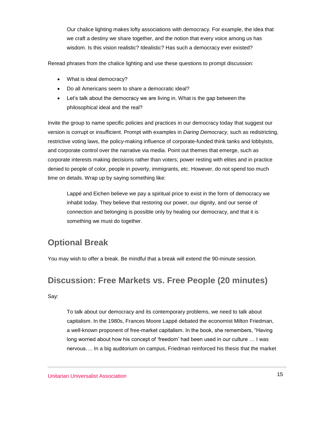Our chalice lighting makes lofty associations with democracy. For example, the idea that we craft a destiny we share together, and the notion that every voice among us has wisdom. Is this vision realistic? Idealistic? Has such a democracy ever existed?

Reread phrases from the chalice lighting and use these questions to prompt discussion:

- What is ideal democracy?
- Do all Americans seem to share a democratic ideal?
- Let's talk about the democracy we are living in. What is the gap between the philosophical ideal and the real?

Invite the group to name specific policies and practices in our democracy today that suggest our version is corrupt or insufficient. Prompt with examples in *Daring Democracy,* such as redistricting, restrictive voting laws, the policy-making influence of corporate-funded think tanks and lobbyists, and corporate control over the narrative via media. Point out themes that emerge, such as corporate interests making decisions rather than voters; power resting with elites and in practice denied to people of color, people in poverty, immigrants, etc. However, do not spend too much time on details. Wrap up by saying something like:

Lappé and Eichen believe we pay a spiritual price to exist in the form of democracy we inhabit today. They believe that restoring our power, our dignity, and our sense of connection and belonging is possible only by healing our democracy, and that it is something we must do together.

### **Optional Break**

You may wish to offer a break. Be mindful that a break will extend the 90-minute session.

### **Discussion: Free Markets vs. Free People (20 minutes)**

Say:

To talk about our democracy and its contemporary problems, we need to talk about capitalism. In the 1980s, Frances Moore Lappé debated the economist Milton Friedman, a well-known proponent of free-market capitalism. In the book, she remembers, "Having long worried about how his concept of 'freedom' had been used in our culture … I was nervous…. In a big auditorium on campus, Friedman reinforced his thesis that the market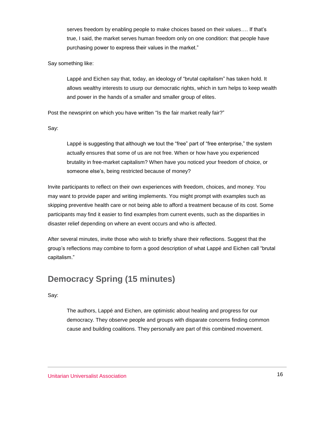serves freedom by enabling people to make choices based on their values…. If that's true, I said, the market serves human freedom only on one condition: that people have purchasing power to express their values in the market."

Say something like:

Lappé and Eichen say that, today, an ideology of "brutal capitalism" has taken hold. It allows wealthy interests to usurp our democratic rights, which in turn helps to keep wealth and power in the hands of a smaller and smaller group of elites.

Post the newsprint on which you have written "Is the fair market really fair?"

Say:

Lappé is suggesting that although we tout the "free" part of "free enterprise," the system actually ensures that some of us are not free. When or how have you experienced brutality in free-market capitalism? When have you noticed your freedom of choice, or someone else's, being restricted because of money?

Invite participants to reflect on their own experiences with freedom, choices, and money. You may want to provide paper and writing implements. You might prompt with examples such as skipping preventive health care or not being able to afford a treatment because of its cost. Some participants may find it easier to find examples from current events, such as the disparities in disaster relief depending on where an event occurs and who is affected.

After several minutes, invite those who wish to briefly share their reflections. Suggest that the group's reflections may combine to form a good description of what Lappé and Eichen call "brutal capitalism."

### **Democracy Spring (15 minutes)**

Say:

The authors, Lappé and Eichen, are optimistic about healing and progress for our democracy. They observe people and groups with disparate concerns finding common cause and building coalitions. They personally are part of this combined movement.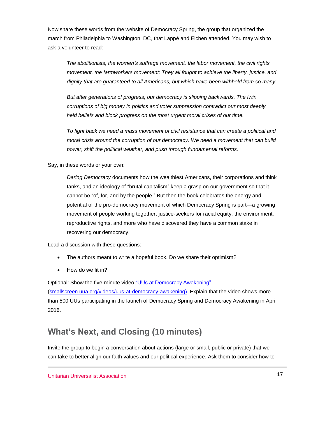Now share these words from the website of Democracy Spring, the group that organized the march from Philadelphia to Washington, DC, that Lappé and Eichen attended. You may wish to ask a volunteer to read:

*The abolitionists, the women's suffrage movement, the labor movement, the civil rights movement, the farmworkers movement: They all fought to achieve the liberty, justice, and dignity that are guaranteed to all Americans, but which have been withheld from so many.*

*But after generations of progress, our democracy is slipping backwards. The twin corruptions of big money in politics and voter suppression contradict our most deeply held beliefs and block progress on the most urgent moral crises of our time.*

*To fight back we need a mass movement of civil resistance that can create a political and moral crisis around the corruption of our democracy. We need a movement that can build power, shift the political weather, and push through fundamental reforms.*

Say, in these words or your own:

*Daring Democracy* documents how the wealthiest Americans, their corporations and think tanks, and an ideology of "brutal capitalism" keep a grasp on our government so that it cannot be "of, for, and by the people." But then the book celebrates the energy and potential of the pro-democracy movement of which Democracy Spring is part—a growing movement of people working together: justice-seekers for racial equity, the environment, reproductive rights, and more who have discovered they have a common stake in recovering our democracy.

Lead a discussion with these questions:

- The authors meant to write a hopeful book. Do we share their optimism?
- How do we fit in?

Optional: Show the five-minute video ["UUs at Democracy Awakening"](https://smallscreen.uua.org/videos/uus-at-democracy-awakening) [\(smallscreen.uua.org/videos/uus-at-democracy-awakening\)](https://smallscreen.uua.org/videos/uus-at-democracy-awakening). Explain that the video shows more than 500 UUs participating in the launch of Democracy Spring and Democracy Awakening in April 2016.

### **What's Next, and Closing (10 minutes)**

Invite the group to begin a conversation about actions (large or small, public or private) that we can take to better align our faith values and our political experience. Ask them to consider how to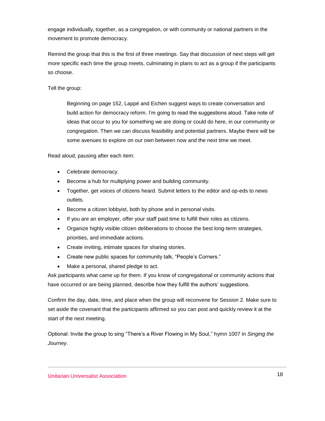engage individually, together, as a congregation, or with community or national partners in the movement to promote democracy.

Remind the group that this is the first of three meetings. Say that discussion of next steps will get more specific each time the group meets, culminating in plans to act as a group if the participants so choose.

Tell the group:

Beginning on page 152, Lappé and Eichen suggest ways to create conversation and build action for democracy reform. I'm going to read the suggestions aloud. Take note of ideas that occur to you for something we are doing or could do here, in our community or congregation. Then we can discuss feasibility and potential partners. Maybe there will be some avenues to explore on our own between now and the next time we meet.

Read aloud, pausing after each item:

- Celebrate democracy.
- **Become a hub for multiplying power and building community.**
- Together, get voices of citizens heard. Submit letters to the editor and op-eds to news outlets.
- Become a citizen lobbyist, both by phone and in personal visits.
- If you are an employer, offer your staff paid time to fulfill their roles as citizens.
- Organize highly visible citizen deliberations to choose the best long-term strategies, priorities, and immediate actions.
- Create inviting, intimate spaces for sharing stories.
- Create new public spaces for community talk, "People's Corners."
- Make a personal, shared pledge to act.

Ask participants what came up for them. If you know of congregational or community actions that have occurred or are being planned, describe how they fulfill the authors' suggestions.

Confirm the day, date, time, and place when the group will reconvene for Session 2. Make sure to set aside the covenant that the participants affirmed so you can post and quickly review it at the start of the next meeting.

Optional: Invite the group to sing "There's a River Flowing in My Soul," hymn 1007 in *Singing the Journey*.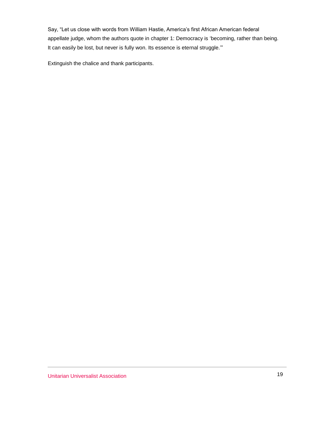Say, "Let us close with words from William Hastie, America's first African American federal appellate judge, whom the authors quote in chapter 1: Democracy is 'becoming, rather than being. It can easily be lost, but never is fully won. Its essence is eternal struggle."

Extinguish the chalice and thank participants.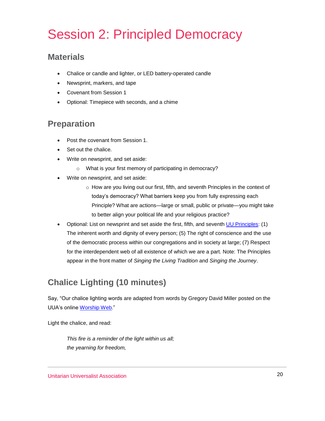# Session 2: Principled Democracy

### **Materials**

- Chalice or candle and lighter, or LED battery-operated candle
- Newsprint, markers, and tape
- Covenant from Session 1
- Optional: Timepiece with seconds, and a chime

### **Preparation**

- Post the covenant from Session 1.
- Set out the chalice.
- Write on newsprint, and set aside:
	- o What is your first memory of participating in democracy?
- Write on newsprint, and set aside:
	- o How are you living out our first, fifth, and seventh Principles in the context of today's democracy? What barriers keep you from fully expressing each Principle? What are actions—large or small, public or private—you might take to better align your political life and your religious practice?
- Optional: List on newsprint and set aside the first, fifth, and seventh [UU Principles:](https://www.uua.org/beliefs/what-we-believe/principles) (1) The inherent worth and dignity of every person; (5) The right of conscience and the use of the democratic process within our congregations and in society at large; (7) Respect for the interdependent web of all existence of which we are a part. Note: The Principles appear in the front matter of *Singing the Living Tradition* and *Singing the Journey*.

## **Chalice Lighting (10 minutes)**

Say, "Our chalice lighting words are adapted from words by Gregory David Miller posted on the UUA's online [Worship Web.](https://www.uua.org/worship/words/chalice-lighting/reminder-inner-light)"

Light the chalice, and read:

*This fire is a reminder of the light within us all; the yearning for freedom,*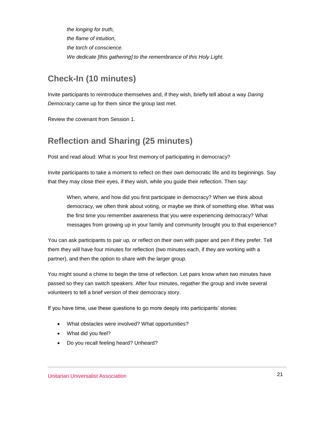*the longing for truth, the flame of intuition, the torch of conscience. We dedicate [this gathering] to the remembrance of this Holy Light.*

### **Check-In (10 minutes)**

Invite participants to reintroduce themselves and, if they wish, briefly tell about a way *Daring Democracy* came up for them since the group last met.

Review the covenant from Session 1.

### **Reflection and Sharing (25 minutes)**

Post and read aloud: What is your first memory of participating in democracy?

Invite participants to take a moment to reflect on their own democratic life and its beginnings. Say that they may close their eyes, if they wish, while you guide their reflection. Then say:

When, where, and how did you first participate in democracy? When we think about democracy, we often think about voting, or maybe we think of something else. What was the first time you remember awareness that you were experiencing democracy? What messages from growing up in your family and community brought you to that experience?

You can ask participants to pair up, or reflect on their own with paper and pen if they prefer. Tell them they will have four minutes for reflection (two minutes each, if they are working with a partner), and then the option to share with the larger group.

You might sound a chime to begin the time of reflection. Let pairs know when two minutes have passed so they can switch speakers. After four minutes, regather the group and invite several volunteers to tell a brief version of their democracy story.

If you have time, use these questions to go more deeply into participants' stories:

- What obstacles were involved? What opportunities?
- What did you feel?
- Do you recall feeling heard? Unheard?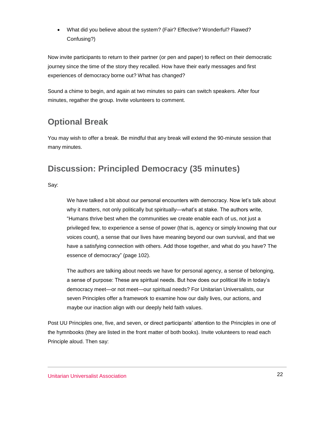What did you believe about the system? (Fair? Effective? Wonderful? Flawed? Confusing?)

Now invite participants to return to their partner (or pen and paper) to reflect on their democratic journey since the time of the story they recalled. How have their early messages and first experiences of democracy borne out? What has changed?

Sound a chime to begin, and again at two minutes so pairs can switch speakers. After four minutes, regather the group. Invite volunteers to comment.

### **Optional Break**

You may wish to offer a break. Be mindful that any break will extend the 90-minute session that many minutes.

### **Discussion: Principled Democracy (35 minutes)**

Say:

We have talked a bit about our personal encounters with democracy. Now let's talk about why it matters, not only politically but spiritually—what's at stake. The authors write, "Humans thrive best when the communities we create enable each of us, not just a privileged few, to experience a sense of power (that is, agency or simply knowing that our voices count), a sense that our lives have meaning beyond our own survival, and that we have a satisfying connection with others. Add those together, and what do you have? The essence of democracy" (page 102).

The authors are talking about needs we have for personal agency, a sense of belonging, a sense of purpose: These are spiritual needs. But how does our political life in today's democracy meet—or not meet—our spiritual needs? For Unitarian Universalists, our seven Principles offer a framework to examine how our daily lives, our actions, and maybe our inaction align with our deeply held faith values.

Post UU Principles one, five, and seven, or direct participants' attention to the Principles in one of the hymnbooks (they are listed in the front matter of both books). Invite volunteers to read each Principle aloud. Then say: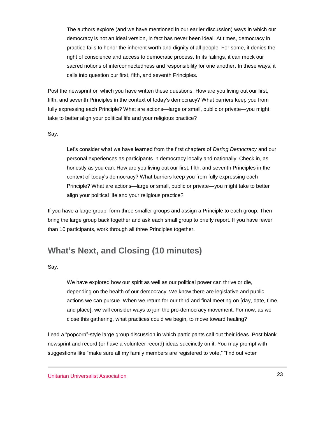The authors explore (and we have mentioned in our earlier discussion) ways in which our democracy is not an ideal version, in fact has never been ideal. At times, democracy in practice fails to honor the inherent worth and dignity of all people. For some, it denies the right of conscience and access to democratic process. In its failings, it can mock our sacred notions of interconnectedness and responsibility for one another. In these ways, it calls into question our first, fifth, and seventh Principles.

Post the newsprint on which you have written these questions: How are you living out our first, fifth, and seventh Principles in the context of today's democracy? What barriers keep you from fully expressing each Principle? What are actions—large or small, public or private—you might take to better align your political life and your religious practice?

Say:

Let's consider what we have learned from the first chapters of *Daring Democracy* and our personal experiences as participants in democracy locally and nationally. Check in, as honestly as you can: How are you living out our first, fifth, and seventh Principles in the context of today's democracy? What barriers keep you from fully expressing each Principle? What are actions—large or small, public or private—you might take to better align your political life and your religious practice?

If you have a large group, form three smaller groups and assign a Principle to each group. Then bring the large group back together and ask each small group to briefly report. If you have fewer than 10 participants, work through all three Principles together.

### **What's Next, and Closing (10 minutes)**

Say:

We have explored how our spirit as well as our political power can thrive or die, depending on the health of our democracy. We know there are legislative and public actions we can pursue. When we return for our third and final meeting on [day, date, time, and place], we will consider ways to join the pro-democracy movement. For now, as we close this gathering, what practices could we begin, to move toward healing?

Lead a "popcorn"-style large group discussion in which participants call out their ideas. Post blank newsprint and record (or have a volunteer record) ideas succinctly on it. You may prompt with suggestions like "make sure all my family members are registered to vote," "find out voter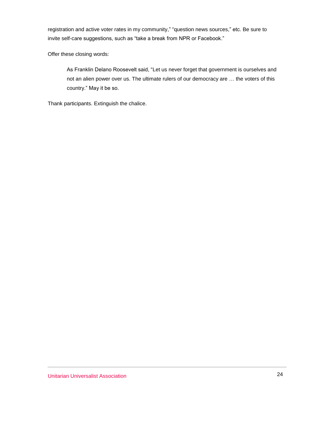registration and active voter rates in my community," "question news sources," etc. Be sure to invite self-care suggestions, such as "take a break from NPR or Facebook."

Offer these closing words:

As Franklin Delano Roosevelt said, "Let us never forget that government is ourselves and not an alien power over us. The ultimate rulers of our democracy are … the voters of this country." May it be so.

Thank participants. Extinguish the chalice.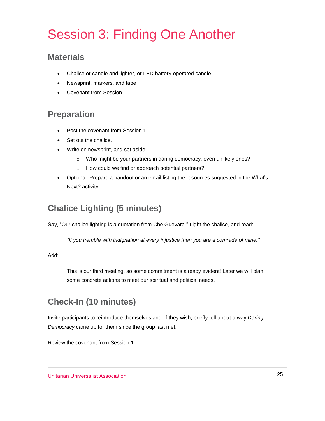# Session 3: Finding One Another

### **Materials**

- Chalice or candle and lighter, or LED battery-operated candle
- Newsprint, markers, and tape
- Covenant from Session 1

### **Preparation**

- Post the covenant from Session 1.
- Set out the chalice.
- Write on newsprint, and set aside:
	- o Who might be your partners in daring democracy, even unlikely ones?
	- o How could we find or approach potential partners?
- Optional: Prepare a handout or an email listing the resources suggested in the What's Next? activity.

### **Chalice Lighting (5 minutes)**

Say, "Our chalice lighting is a quotation from Che Guevara." Light the chalice, and read:

*"If you tremble with indignation at every injustice then you are a comrade of mine."*

Add:

This is our third meeting, so some commitment is already evident! Later we will plan some concrete actions to meet our spiritual and political needs.

### **Check-In (10 minutes)**

Invite participants to reintroduce themselves and, if they wish, briefly tell about a way *Daring Democracy* came up for them since the group last met.

Review the covenant from Session 1.

Unitarian Universalist Association 25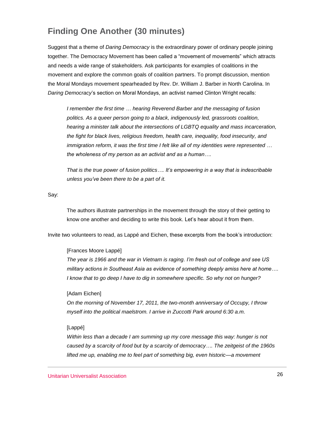### **Finding One Another (30 minutes)**

Suggest that a theme of *Daring Democracy* is the extraordinary power of ordinary people joining together. The Democracy Movement has been called a "movement of movements" which attracts and needs a wide range of stakeholders. Ask participants for examples of coalitions in the movement and explore the common goals of coalition partners. To prompt discussion, mention the Moral Mondays movement spearheaded by Rev. Dr. William J. Barber in North Carolina. In *Daring Democracy*'s section on Moral Mondays, an activist named Clinton Wright recalls:

*I remember the first time … hearing Reverend Barber and the messaging of fusion politics. As a queer person going to a black, indigenously led, grassroots coalition, hearing a minister talk about the intersections of LGBTQ equality and mass incarceration, the fight for black lives, religious freedom, health care, inequality, food insecurity, and immigration reform, it was the first time I felt like all of my identities were represented … the wholeness of my person as an activist and as a human….*

*That is the true power of fusion politics…. It's empowering in a way that is indescribable unless you've been there to be a part of it.*

Say:

The authors illustrate partnerships in the movement through the story of their getting to know one another and deciding to write this book. Let's hear about it from them.

Invite two volunteers to read, as Lappé and Eichen, these excerpts from the book's introduction:

#### [Frances Moore Lappé]

*The year is 1966 and the war in Vietnam is raging. I'm fresh out of college and see US military actions in Southeast Asia as evidence of something deeply amiss here at home…. I know that to go deep I have to dig in somewhere specific. So why not on hunger?*

#### [Adam Eichen]

*On the morning of November 17, 2011, the two-month anniversary of Occupy, I throw myself into the political maelstrom. I arrive in Zuccotti Park around 6:30 a.m.*

### [Lappé]

*Within less than a decade I am summing up my core message this way: hunger is not caused by a scarcity of food but by a scarcity of democracy…. The zeitgeist of the 1960s lifted me up, enabling me to feel part of something big, even historic—a movement*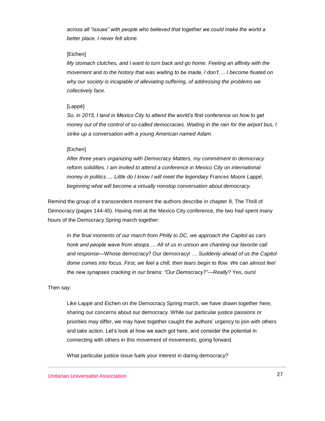*across all "issues" with people who believed that together we could make the world a better place. I never felt alone.*

### [Eichen]

*My stomach clutches, and I want to turn back and go home. Feeling an affinity with the movement and to the history that was waiting to be made, I don't…. I become fixated on why our society is incapable of alleviating suffering, of addressing the problems we collectively face.*

### [Lappé]

*So, in 2015, I land in Mexico City to attend the world's first conference on how to get money out of the control of so-called democracies. Waiting in the rain for the airport bus, I strike up a conversation with a young American named Adam.*

#### [Eichen]

*After three years organizing with Democracy Matters, my commitment to democracy reform solidifies. I am invited to attend a conference in Mexico City on international money in politics…. Little do I know I will meet the legendary Frances Moore Lappé, beginning what will become a virtually nonstop conversation about democracy.*

Remind the group of a transcendent moment the authors describe in chapter 8, The Thrill of Democracy (pages 144-45). Having met at the Mexico City conference, the two had spent many hours of the Democracy Spring march together:

*In the final moments of our march from Philly to DC, we approach the Capitol as cars*  honk and people wave from stoops.... All of us in unison are chanting our favorite call *and response—*Whose democracy? Our democracy! *… Suddenly ahead of us the Capitol dome comes into focus. First, we feel a chill, then tears begin to flow. We can almost feel the new synapses cracking in our brains: "Our Democracy?"—Really?* Yes, ours!

### Then say:

Like Lappé and Eichen on the Democracy Spring march, we have drawn together here, sharing our concerns about our democracy. While our particular justice passions or priorities may differ, we may have together caught the authors' urgency to join with others and take action. Let's look at how we each got here, and consider the potential in connecting with others in this movement of movements, going forward.

What particular justice issue fuels your interest in daring democracy?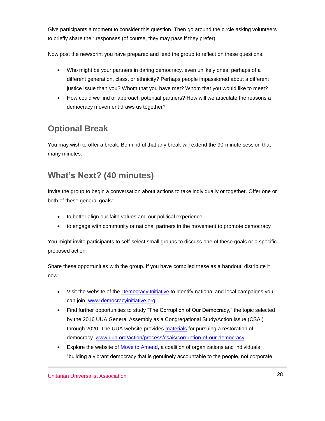Give participants a moment to consider this question. Then go around the circle asking volunteers to briefly share their responses (of course, they may pass if they prefer).

Now post the newsprint you have prepared and lead the group to reflect on these questions:

- Who might be your partners in daring democracy, even unlikely ones, perhaps of a different generation, class, or ethnicity? Perhaps people impassioned about a different justice issue than you? Whom that you have met? Whom that you would like to meet?
- How could we find or approach potential partners? How will we articulate the reasons a democracy movement draws us together?

## **Optional Break**

You may wish to offer a break. Be mindful that any break will extend the 90-minute session that many minutes.

## **What's Next? (40 minutes)**

Invite the group to begin a conversation about actions to take individually or together. Offer one or both of these general goals:

- to better align our faith values and our political experience
- to engage with community or national partners in the movement to promote democracy

You might invite participants to self-select small groups to discuss one of these goals or a specific proposed action.

Share these opportunities with the group. If you have compiled these as a handout, distribute it now.

- Visit the website of the [Democracy Initiative](http://www.democracyinitiative.org/) to identify national and local campaigns you can join. [www.democracyinitiative.org](http://www.democracyinitiative.org/)
- Find further opportunities to study "The Corruption of Our Democracy," the topic selected by the 2016 UUA General Assembly as a Congregational Study/Action Issue (CSAI) through 2020. The UUA website provides [materials](https://www.uua.org/action/process/csais/corruption-of-our-democracy) for pursuing a restoration of democracy. [www.uua.org/action/process/csais/corruption-of-our-democracy](https://www.uua.org/action/process/csais/corruption-of-our-democracy)
- **Explore the website of [Move to Amend,](https://movetoamend.org/) a coalition of organizations and individuals** "building a vibrant democracy that is genuinely accountable to the people, not corporate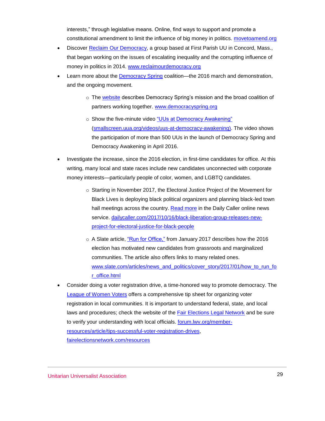interests," through legislative means. Online, find ways to support and promote a constitutional amendment to limit the influence of big money in politics. [movetoamend.org](https://movetoamend.org/)

- Discover [Reclaim Our Democracy,](http://reclaimourdemocracy.org/) a group based at First Parish UU in Concord, Mass., that began working on the issues of escalating inequality and the corrupting influence of money in politics in 2014. [www.reclaimourdemocracy.org](http://www.reclaimourdemocracy.org/)
- Learn more about the **Democracy Spring coalition—the 2016 march and demonstration**, and the ongoing movement.
	- $\circ$  The [website](https://www.democracyspring.org/) describes Democracy Spring's mission and the broad coalition of partners working together. [www.democracyspring.org](https://www.democracyspring.org/)
	- o Show the five-minute video ["UUs at Democracy Awakening"](https://smallscreen.uua.org/videos/uus-at-democracy-awakening) [\(smallscreen.uua.org/videos/uus-at-democracy-awakening\)](https://smallscreen.uua.org/videos/uus-at-democracy-awakening). The video shows the participation of more than 500 UUs in the launch of Democracy Spring and Democracy Awakening in April 2016.
- Investigate the increase, since the 2016 election, in first-time candidates for office. At this writing, many local and state races include new candidates unconnected with corporate money interests—particularly people of color, women, and LGBTQ candidates.
	- o Starting in November 2017, the Electoral Justice Project of the Movement for Black Lives is deploying black political organizers and planning black-led town hall meetings across the country. [Read more](http://dailycaller.com/2017/10/16/black-liberation-group-releases-new-project-for-electoral-justice-for-black-people/) in the Daily Caller online news service. [dailycaller.com/2017/10/16/black-liberation-group-releases-new](http://dailycaller.com/2017/10/16/black-liberation-group-releases-new-project-for-electoral-justice-for-black-people/)[project-for-electoral-justice-for-black-people](http://dailycaller.com/2017/10/16/black-liberation-group-releases-new-project-for-electoral-justice-for-black-people/)
	- o A Slate article, ["Run for Office,"](http://www.slate.com/articles/news_and_politics/cover_story/2017/01/how_to_run_for_office.html) from January 2017 describes how the 2016 election has motivated new candidates from grassroots and marginalized communities. The article also offers links to many related ones. [www.slate.com/articles/news\\_and\\_politics/cover\\_story/2017/01/how\\_to\\_run\\_fo](http://www.slate.com/articles/news_and_politics/cover_story/2017/01/how_to_run_for_office.html) [r\\_office.html](http://www.slate.com/articles/news_and_politics/cover_story/2017/01/how_to_run_for_office.html)
- Consider doing a voter registration drive, a time-honored way to promote democracy. The [League of Women](http://forum.lwv.org/member-resources/article/tips-successful-voter-registration-drives) Voters offers a comprehensive tip sheet for organizing voter registration in local communities. It is important to understand federal, state, and local laws and procedures; check the website of the [Fair Elections Legal Network](http://fairelectionsnetwork.com/resources/) and be sure to verify your understanding with local officials. **forum.lwv.org/member**[resources/article/tips-successful-voter-registration-drives,](http://forum.lwv.org/member-resources/article/tips-successful-voter-registration-drives) [fairelectionsnetwork.com/resources](http://fairelectionsnetwork.com/resources/)